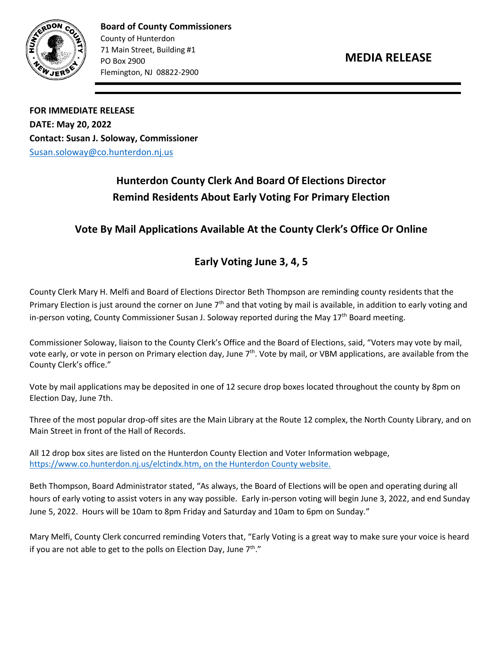

**Board of County Commissioners** County of Hunterdon 71 Main Street, Building #1 PO Box 2900 Flemington, NJ 08822-2900

**FOR IMMEDIATE RELEASE DATE: May 20, 2022 Contact: Susan J. Soloway, Commissioner**  [Susan.soloway@co.hunterdon.nj.us](mailto:Susan.soloway@co.hunterdon.nj.us)

## **Hunterdon County Clerk And Board Of Elections Director Remind Residents About Early Voting For Primary Election**

## **Vote By Mail Applications Available At the County Clerk's Office Or Online**

## **Early Voting June 3, 4, 5**

County Clerk Mary H. Melfi and Board of Elections Director Beth Thompson are reminding county residents that the Primary Election is just around the corner on June  $7<sup>th</sup>$  and that voting by mail is available, in addition to early voting and in-person voting, County Commissioner Susan J. Soloway reported during the May  $17<sup>th</sup>$  Board meeting.

Commissioner Soloway, liaison to the County Clerk's Office and the Board of Elections, said, "Voters may vote by mail, vote early, or vote in person on Primary election day, June 7<sup>th</sup>. Vote by mail, or VBM applications, are available from the County Clerk's office."

Vote by mail applications may be deposited in one of 12 secure drop boxes located throughout the county by 8pm on Election Day, June 7th.

Three of the most popular drop-off sites are the Main Library at the Route 12 complex, the North County Library, and on Main Street in front of the Hall of Records.

All 12 drop box sites are listed on the Hunterdon County Election and Voter Information webpage, [https://www.co.hunterdon.nj.us/elctindx.htm,](https://www.co.hunterdon.nj.us/elctindx.htm) on the Hunterdon County website.

Beth Thompson, Board Administrator stated, "As always, the Board of Elections will be open and operating during all hours of early voting to assist voters in any way possible. Early in-person voting will begin June 3, 2022, and end Sunday June 5, 2022. Hours will be 10am to 8pm Friday and Saturday and 10am to 6pm on Sunday."

Mary Melfi, County Clerk concurred reminding Voters that, "Early Voting is a great way to make sure your voice is heard if you are not able to get to the polls on Election Day, June 7<sup>th</sup>."